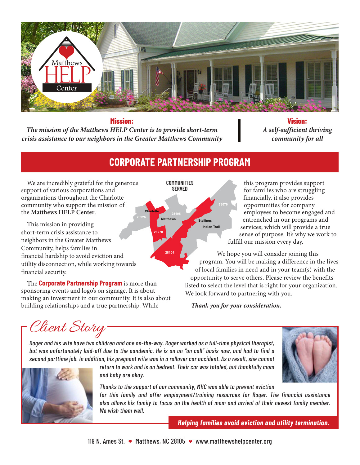

## **Mission:**

*The mission of the Matthews HELP Center is to provide short-term crisis assistance to our neighbors in the Greater Matthews Community*

**Vision:** *A self-sufficient thriving community for all*

## **CORPORATE PARTNERSHIP PROGRAM**

We are incredibly grateful for the generous support of various corporations and organizations throughout the Charlotte community who support the mission of the **Matthews HELP Center**.

This mission in providing short-term crisis assistance to neighbors in the Greater Matthews Community, helps families in financial hardship to avoid eviction and utility disconnection, while working towards financial security.

The **Corporate Partnership Program** is more than sponsoring events and logo's on signage. It is about making an investment in our community. It is also about building relationships and a true partnership. While

this program provides support for families who are struggling financially, it also provides opportunities for company employees to become engaged and entrenched in our programs and services; which will provide a true sense of purpose. It's why we work to fulfill our mission every day.

We hope you will consider joining this program. You will be making a difference in the lives of local families in need and in your team(s) with the opportunity to serve others. Please review the benefits listed to select the level that is right for your organization. We look forward to partnering with you.

*Thank you for your consideration.*

Client Story

*Roger and his wife have two children and one on-the-way. Roger worked as a full-time physical therapist, but was unfortunately laid-off due to the pandemic. He is on an "on call" basis now, and had to find a second parttime job. In addition, his pregnant wife was in a rollover car accident. As a result, she cannot* 





*return to work and is on bedrest. Their car was totaled, but thankfully mom and baby are okay.* 

*Thanks to the support of our community, MHC was able to prevent eviction for this family and offer employment/training resources for Roger. The financial assistance also allows his family to focus on the health of mom and arrival of their newest family member. We wish them well.*

*Helping families avoid eviction and utility termination.*